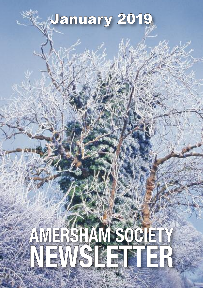# January 2019

# **AMERSHAM SOCIETY NEWSLETTER**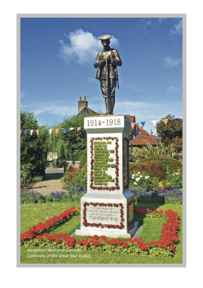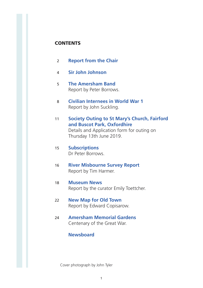#### **CONTENTS**

- 02 **Report from the Chair**
- 04 **Sir John Johnson**
- 05 **The Amersham Band** Report by Peter Borrows.
- 08 **Civilian Internees in World War 1** Report by John Suckling.
- 11 **Society Outing to St Mary's Church, Fairford and Buscot Park, Oxfordhire** Details and Application form for outing on Thursday 13th June 2019.
- 15 **Subscriptions** Dr Peter Borrows.
- 16 **River Misbourne Survey Report** Report by Tim Harmer.
- 18 **Museum News** Report by the curator Emily Toettcher.
- 22 **New Map for Old Town** Report by Edward Copisarow.
- 24 **Amersham Memorial Gardens** Centenary of the Great War.

#### **Newsboard**

Cover photograph by John Tyler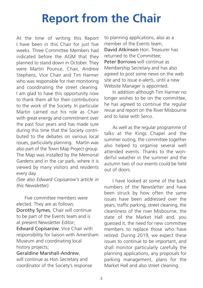# **Report from the Chair**

At the time of writing this Report I have been in this Chair for just five weeks. Three Committee Members had indicated before the AGM that they planned to stand down in October. They were Martin Pounce, Chair, Andrew Stephens, Vice Chair and Tim Harmer who was responsible for river monitoring and coordinating the street cleaning. I am glad to have this opportunity now to thank them all for their contributions to the work of the Society. In particular Martin carried out his role as Chair with great energy and commitment over the past four years and has made sure during this time that the Society contributed to the debates on various local issues, particularly planning. Martin was also part of the Town Map Project group. The Map was installed by the Memorial Gardens and in the car park, where it is viewed by many visitors and residents every day.

*(See also Edward Copisarow's article in this Newsletter).*

 Five committee members were elected. They are as follows: Dorothy Symes, Chair will continue to be part of the Events team and is at present Newsletter Editor; Edward Copisarow, Vice Chair with responsibility for liaison with Amersham Museum and coordinating local history projects;

Geraldine Marshall-Andrew, will continue as Hon Secretary and coordinator of the Society's response

to planning applications, also as a member of the Events team; David Atkinson Hon. Treasurer has returned to the Committee; Peter Borrows will continue as Membership Secretary and has also agreed to post some news on the web site and to issue e-alerts, until a new Website Manager is appointed.

 In addition although Tim Harmer no longer wishes to be on the committee, he has agreed to continue the regular revue and report on the River Misbourne and to liaise with Serco.

 As well as the regular programme of talks at the Kings Chapel and the summer outing, the committee together also helped to organise several well attended events. Thanks to the wonderful weather in the summer and the autumn two of our events could be held out of doors.

 I have looked at some of the back numbers of the Newsletter and have been struck by how often the same issues have been addressed over the years, traffic parking, street cleaning, the cleanliness of the river Misbourne, the state of the Market Hall and, you guessed it, the need for new committee members to replace those who have retired. During 2019, we expect these issues to continue to be important, and shall monitor particularly carefully the planning applications, any proposals for parking management, plans for the Market Hall and also street cleaning.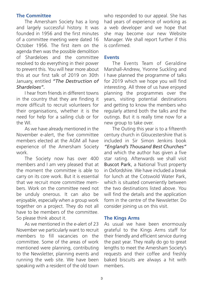#### **The Committee**

 The Amersham Society has a long and largely successful history. It was founded in 1956 and the first minutes of a committee meeting were dated 16 October 1956. The first item on the agenda then was the possible demolition of Shardeloes and the committee resolved to do everything in their power to prevent this. You will hear more about this at our first talk of 2019 on 30th January, entitled *"The Destruction of Shardeloes".*

 I hear from friends in different towns in the country that they are finding it more difficult to recruit volunteers for their organisations, whether it is the need for help for a sailing club or for the WI.

 As we have already mentioned in the November e-alert, the five committee members elected at the AGM all have experience of the Amersham Society work.

 The Society now has over 400 members and I am very pleased that at the moment the committee is able to carry on its core work. But it is essential that we recruit more committee members. Work on the committee need not be unduly onerous. It can also be enjoyable, especially when a group work together on a project. They do not all have to be members of the committee. So please think about it.

 As we mentioned in the e-alert of 23 November we particularly want to recruit members to fill vacancies on the committee. Some of the areas of work mentioned were planning, contributing to the Newsletter, planning events and running the web site. We have been speaking with a resident of the old town who responded to our appeal. She has had years of experience of working as a web developer and we hope that she may become our new Website Manager. We shall report further if this is confirmed.

#### **Events**

 The Events Team of Geraldine Marshall-Andrew, Yvonne Suckling and I have planned the programme of talks for 2019 which we hope you will find interesting. All three of us have enjoyed planning the programmes over the years, visiting potential destinations and getting to know the members who regularly attend both the talks and the outings. But it is really time now for a new group to take over.

 The Outing this year is to a fifteenth century church in Gloucestershire that is included in Sir Simon Jenkins book *"England's Thousand Best Churches"* and which the author has given a five star rating. Afterwards we shall visit Buscot Park, a National Trust property in Oxfordshire. We have included a break for lunch at the Cotswold Water Park, which is situated conveniently between the two destinations listed above. You will find the details and the application form in the centre of the Newsletter. Do consider joining us on this visit.

#### **The Kings Arms**

As usual we have been enormously grateful to the Kings Arms staff for their friendly and efficient service during the past year. They really do go to great lengths to meet the Amersham Society's requests and their coffee and freshly baked biscuits are always a hit with members.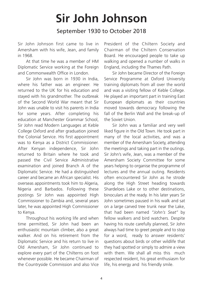# **Sir John Johnson**

#### September 1930 to October 2018

Sir John Johnson first came to live in Amersham with his wife, Jean, and family in 1968.

 At that time he was a member of HM Diplomatic Service working at the Foreign and Commonwealth Office in London.

 Sir John was born in 1930 in India, where his father was an engineer. He returned to the UK for his education and stayed with his grandmother. The outbreak of the Second World War meant that Sir John was unable to visit his parents in India for some years. After completing his education at Manchester Grammar School, Sir John read Modern Languages at Keble College Oxford and after graduation joined the Colonial Service. His first appointment was to Kenya as a District Commissioner. After Kenyan independence, Sir John returned to Britain where he took and passed the Civil Service Administrative examination and joined Branch A of the Diplomatic Service. He had a distinguished career and became an African specialist. His overseas appointments took him to Algeria, Nigeria and Barbados. Following these postings Sir John was appointed High Commissioner to Zambia and, several years later, he was appointed High Commissioner to Kenya.

 Throughout his working life and when time permitted, Sir John had been an enthusiastic mountain climber, also a great walker. And on his retirement from the Diplomatic Service and his return to live in Old Amersham, Sir John continued to explore every part of the Chilterns on foot whenever possible. He became Chairman of the Countryside Commission and also Vice President of the Chiltern Society and Chairman of the Chiltern Conservation Board. He encouraged people to take up walking and opened a number of walks in England, including the Thames Path.

 Sir John became Director of the Foreign Service Programme at Oxford University training diplomats from all over the world and was a visiting fellow of Keble College. He played an important part in training East European diplomats as their countries moved towards democracy following the fall of the Berlin Wall and the break-up of the Soviet Union.

 Sir John was a familiar and very well liked figure in the Old Town. He took part in many of the local activities, and was a member of the Amersham Society, attending the meetings and taking part in the outings. Sir John's wife, Jean, was a member of the Amersham Society Committee for some years helping to organise the programme of lectures and the annual outing. Residents often encountered Sir John as he strode along the High Street heading towards Shardeloes Lake or to other destinations, binoculars at the ready. In his later years Sir John sometimes paused in his walk and sat on a large carved tree trunk near the Lake, that had been named *"John's Seat"* by fellow walkers and bird watchers. Despite having his route carefully planned, Sir John always had time to greet people and to stop for a word, ready to answer residents' questions about birds or other wildlife that they had spotted or simply to admire a view with them. We shall all miss this much respected resident, his great enthusiasm for life, his energy and his friendly smile.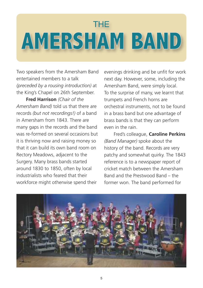# THE **AMERSHAM BAND**

Two speakers from the Amersham Band entertained members to a talk *(preceded by a rousing introduction)* at the King's Chapel on 26th September.

 **Fred Harrison** *(Chair of the Amersham Band)* told us that there are records *(but not recordings!)* of a band in Amersham from 1843. There are many gaps in the records and the band was re-formed on several occasions but it is thriving now and raising money so that it can build its own band room on Rectory Meadows, adjacent to the Surgery. Many brass bands started around 1830 to 1850, often by local industrialists who feared that their workforce might otherwise spend their

evenings drinking and be unfit for work next day. However, some, including the Amersham Band, were simply local. To the surprise of many, we learnt that trumpets and French horns are orchestral instruments, not to be found in a brass band but one advantage of brass bands is that they can perform even in the rain.

 Fred's colleague, **Caroline Perkins** *(Band Manager)* spoke about the history of the band. Records are very patchy and somewhat quirky. The 1843 reference is to a newspaper report of cricket match between the Amersham Band and the Prestwood Band – the former won. The band performed for

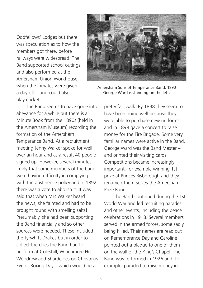Oddfellows' Lodges but there was speculation as to how the members got there, before railways were widespread. The Band supported school outings and also performed at the Amersham Union Workhouse, when the inmates were given a day off – and could also play cricket.



Amersham Sons of Temperance Band. 1890 George Ward is standing on the left.

 The Band seems to have gone into abeyance for a while but there is a Minute Book from the 1890s (held in the Amersham Museum) recording the formation of the Amersham Temperance Band. At a recruitment meeting Jenny Walker spoke for well over an hour and as a result 40 people signed up. However, several minutes imply that some members of the band were having difficulty in complying with the abstinence policy and in 1892 there was a vote to abolish it. It was said that when Mrs Walker heard the news, she fainted and had to be brought round with smelling salts! Presumably, she had been supporting the Band financially and so other sources were needed. These included the Tyrwhitt-Drakes but in order to collect the dues the Band had to perform at Coleshill, Winchmore Hill, Woodrow and Shardeloes on Christmas Eve or Boxing Day – which would be a

pretty fair walk. By 1898 they seem to have been doing well because they were able to purchase new uniforms and in 1899 gave a concert to raise money for the Fire Brigade. Some very familiar names were active in the Band. George Ward was the Band Master – and printed their visiting cards. Competitions became increasingly important, for example winning 1st prize at Princes Risborough and they renamed them-selves the Amersham Prize Band.

 The Band continued during the 1st World War and led recruiting parades and other events, including the peace celebrations in 1918. Several members served in the armed forces, some sadly being killed. Their names are read out on Remembrance Day and Caroline pointed out a plaque to one of them on the wall of the King's Chapel. The Band was re-formed in 1926 and, for example, paraded to raise money in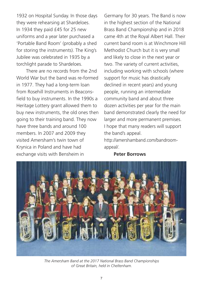1932 on Hospital Sunday. In those days they were rehearsing at Shardeloes. In 1934 they paid £45 for 25 new uniforms and a year later purchased a 'Portable Band Room' (probably a shed for storing the instruments). The King's Jubilee was celebrated in 1935 by a torchlight parade to Shardeloes.

 There are no records from the 2nd World War but the band was re-formed in 1977. They had a long-term loan from Rosehill Instruments in Beaconsfield to buy instruments. In the 1990s a Heritage Lottery grant allowed them to buy new instruments, the old ones then going to their training band. They now have three bands and around 100 members. In 2007 and 2009 they visited Amersham's twin town of Krynica in Poland and have had exchange visits with Bensheim in

Germany for 30 years. The Band is now in the highest section of the National Brass Band Championship and in 2018 came 4th at the Royal Albert Hall. Their current band room is at Winchmore Hill Methodist Church but it is very small and likely to close in the next year or two. The variety of current activities, including working with schools (where support for music has drastically declined in recent years) and young people, running an intermediate community band and about three dozen activities per year for the main band demonstrated clearly the need for larger and more permanent premises. I hope that many readers will support the band's appeal.

http://amershamband.com/bandroomappeal/.

**Peter Borrows**



*The Amersham Band at the 2017 National Brass Band Championships of Great Britain, held in Cheltenham.*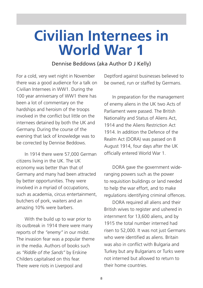# **Civilian Internees in World War 1**

#### Dennise Beddows (aka Author D J Kelly)

For a cold, very wet night in November there was a good audience for a talk on Civilian Internees in WW1. During the 100 year anniversary of WW1 there has been a lot of commentary on the hardships and heroism of the troops involved in the conflict but little on the internees detained by both the UK and Germany. During the course of the evening that lack of knowledge was to be corrected by Dennise Beddows.

 In 1914 there were 57,000 German citizens living in the UK. The UK economy was better than that of Germany and many had been attracted by better opportunities. They were involved in a myriad of occupations, such as academia, circus entertainment, butchers of pork, waiters and an amazing 10% were barbers.

 With the build up to war prior to its outbreak in 1914 there were many reports of the *"enemy"* in our midst. The invasion fear was a popular theme in the media. Authors of books such as *"Riddle of the Sands"* by Erskine Childers capitalised on this fear. There were riots in Liverpool and

Deptford against businesses believed to be owned, run or staffed by Germans.

 In preparation for the management of enemy aliens in the UK two Acts of Parliament were passed. The British Nationality and Status of Aliens Act, 1914 and the Aliens Restriction Act 1914. In addition the Defence of the Realm Act (DORA) was passed on 8 August 1914, four days after the UK officially entered World War 1.

 DORA gave the government wideranging powers such as the power to requisition buildings or land needed to help the war effort, and to make regulations identifying criminal offences.

 DORA required all aliens and their British wives to register and ushered in internment for 13,600 aliens, and by 1915 the total number interned had risen to 52,000. It was not just Germans who were identified as aliens. Britain was also in conflict with Bulgaria and Turkey but any Bulgarians or Turks were not interned but allowed to return to their home countries.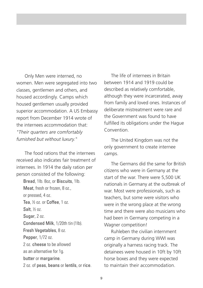Only Men were interned, no women. Men were segregated into two classes, gentlemen and others, and housed accordingly. Camps which housed gentlemen usually provided superior accommodation. A US Embassy report from December 1914 wrote of the internees accommodation that: *"Their quarters are comfortably furnished but without luxury."*

 The food rations that the internees received also indicates fair treatment of internees. In 1914 the daily ration per person consisted of the following:

 Bread, 1lb. 8oz, or Biscuits, 1lb. Meat, fresh or frozen, 8 oz. or pressed, 4 oz. Tea, ½ oz. or Coffee, 1 oz. Salt $%$   $\frac{1}{2}$   $\frac{1}{2}$  Sugar, 2 oz. Condensed Milk, 1/20th tin (1lb). Fresh Vegetables, 8 oz. Pepper, 1/72 oz. 2 oz. cheese to be allowed as an alternative for 1g. butter or margarine. 2 oz. of peas, beans or lentils, or rice.

 The life of internees in Britain between 1914 and 1919 could be described as relatively comfortable, although they were incarcerated, away from family and loved ones. Instances of deliberate mistreatment were rare and the Government was found to have fulfilled its obligations under the Hague Convention.

 The United Kingdom was not the only government to create internee camps.

 The Germans did the same for British citizens who were in Germany at the start of the war. There were 5,500 UK nationals in Germany at the outbreak of war. Most were professionals, such as teachers, but some were visitors who were in the wrong place at the wrong time and there were also musicians who had been in Germany competing in a Wagner competition!

 Ruhleben the civilian internment camp in Germany during WWI was originally a harness racing track. The detainees were housed in 10ft by 10ft horse boxes and they were expected to maintain their accommodation.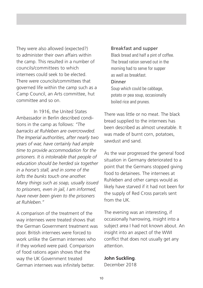They were also allowed (expected?) to administer their own affairs within the camp. This resulted in a number of councils/committees to which internees could seek to be elected. There were councils/committees that governed life within the camp such as a Camp Council, an Arts committee, hut committee and so on.

In 1916, the United States Ambassador in Berlin described conditions in the camp as follows: *"The barracks at Ruhleben are overcrowded. The Imperial authorities, after nearly two years of war, have certainly had ample time to provide accommodation for the prisoners. It is intolerable that people of education should be herded six together in a horse's stall, and in some of the lofts the bunks touch one another. Many things such as soap, usually issued to prisoners, even in jail, I am informed, have never been given to the prisoners at Ruhleben."*

A comparison of the treatment of the way internees were treated shows that the German Government treatment was poor. British internees were forced to work unlike the German internees who if they worked were paid. Comparison of food rations again shows that the way the UK Government treated German internees was infinitely better.

#### Breakfast and supper

 Black bread and half a pint of coffee. The bread ration served out in the morning had to serve for supper as well as breakfast.

#### Dinner

 Soup which could be cabbage, potato or pea soup, occasionally boiled rice and prunes.

There was little or no meat. The black bread supplied to the internees has been described as almost uneatable. It was made of burnt corn, potatoes, sawdust and sand.

As the war progressed the general food situation in Germany deteriorated to a point that the Germans stopped giving food to detainees. The internees at Ruhleben and other camps would as likely have starved if it had not been for the supply of Red Cross parcels sent from the UK.

The evening was an interesting, if occasionally harrowing, insight into a subject area I had not known about. An insight into an aspect of the WWI conflict that does not usually get any attention.

#### **John Suckling**.

December 2018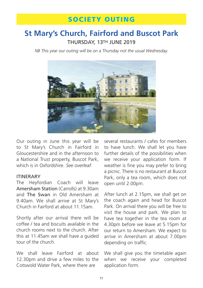### **St Mary's Church, Fairford and Buscot Park** THURSDAY, 13TH JUNE 2019

*NB This year our outing will be on a Thursday not the usual Wednesday.*



Our outing in June this year will be to St Mary's Church in Fairford in Gloucestershire and in the afternoon to a National Trust property, Buscot Park, which is in Oxfordshire. *See overleaf.*

#### ITINERARY

The Heyfordian Coach will leave Amersham Station (Carrolls) at 9.30am and The Swan in Old Amersham at 9.40am. We shall arrive at St Mary's Church in Fairford at about 11.15am.

Shortly after our arrival there will be coffee / tea and biscuits available in the church rooms next to the church. After this at 11.45am we shall have a guided tour of the church.

We shall leave Fairford at about 12.30pm and drive a few miles to the Cotswold Water Park, where there are

several restaurants / cafes for members to have lunch. We shall let you have further details of the possibilities when we receive your application form. If weather is fine you may prefer to bring a picnic. There is no restaurant at Buscot Park, only a tea room, which does not open until 2.00pm.

After lunch at 2.15pm, we shall get on the coach again and head for Buscot Park. On arrival there you will be free to visit the house and park. We plan to have tea together in the tea room at 4.30pm before we leave at 5.15pm for our return to Amersham. We expect to arrive in Amersham at about 7.00pm depending on traffic.

We shall give you the timetable again when we receive your completed application form.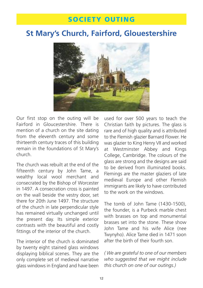## **St Mary's Church, Fairford, Glouestershire**



Our first stop on the outing will be Fairford in Gloucestershire. There is mention of a church on the site dating from the eleventh century and some thirteenth century traces of this building remain in the foundations of St Mary's church.

The church was rebuilt at the end of the fifteenth century by John Tame, a wealthy local wool merchant and consecrated by the Bishop of Worcester in 1497. A consecration cross is painted on the wall beside the vestry door, set there for 20th June 1497. The structure of the church in late perpendicular style has remained virtually unchanged until the present day. Its simple exterior contrasts with the beautiful and costly fittings of the interior of the church.

The interior of the church is dominated by twenty eight stained glass windows displaying biblical scenes. They are the only complete set of medieval narrative glass windows in England and have been used for over 500 years to teach the Christian faith by pictures. The glass is rare and of high quality and is attributed to the Flemish glazier Barnard Flower. He was glazier to King Henry VII and worked at Westminster Abbey and Kings College, Cambridge. The colours of the glass are strong and the designs are said to be derived from illuminated books. Flemings are the master glaziers of late medieval Europe and other Flemish immigrants are likely to have contributed to the work on the windows.

The tomb of John Tame (1430-1500), the founder, is a Purbeck marble chest with brasses on top and monumental brasses set into the stone. These show John Tame and his wife Alice (nee Twynyho). Alice Tame died in 1471 soon after the birth of their fourth son.

*( We are grateful to one of our members who suggested that we might include this church on one of our outings.)*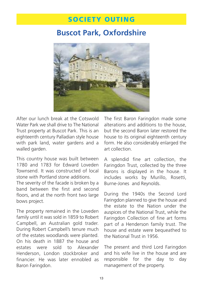### **Buscot Park, Oxfordshire**



After our lunch break at the Cotswold Water Park we shall drive to The National Trust property at Buscot Park. This is an eighteenth century Palladian style house with park land, water gardens and a walled garden.

This country house was built between 1780 and 1783 for Edward Loveden Townsend. It was constructed of local stone with Portland stone additions.

The severity of the facade is broken by a band between the first and second floors, and at the north front two large bows project.

The property remained in the Loveden family until it was sold in 1859 to Robert Campbell, an Australian gold trader. During Robert Campbell's tenure much of the estates woodlands were planted. On his death in 1887 the house and estates were sold to Alexander Henderson, London stockbroker and financier. He was later ennobled as Baron Faringdon.

The first Baron Faringdon made some alterations and additions to the house, but the second Baron later restored the house to its original eighteenth century form. He also considerably enlarged the art collection.

A splendid fine art collection, the Faringdon Trust, collected by the three Barons is displayed in the house. It includes works by Murillo, Rosetti, Burne-Jones and Reynolds.

During the 1940s the Second Lord Faringdon planned to give the house and the estate to the Nation under the auspices of the National Trust, while the Faringdon Collection of fine art forms part of a Henderson family trust. The house and estate were bequeathed to the National Trust in 1956.

The present and third Lord Faringdon and his wife live in the house and are responsible for the day to day management of the property.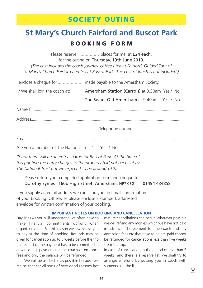## **St Mary's Church Fairford and Buscot Park B O O K I N G F O R M**

Please reserve ......................... places for me, at £24 each, for the outing on Thursday, 13th June 2019. *(The cost includes the coach journey, coffee / tea at Fairford, Guided Tour of St Mary's Church Fairford and tea at Buscot Park. The cost of lunch is not included.)*

I enclose a cheque for £ ......................... made payable to the Amersham Society.

I / We shall join the coach at: Amersham Station (Carrols) at 9.30am Yes / No

The Swan, Old Amersham at 9.40am Yes / No

Name(s).................................................................................................................................................................... Address.................................................................................................................................................................... ........................................................................................Telephone number....................................................... Email..........................................................................................................................................................................

Are you a member of The National Trust? Yes / No

*(If not there will be an entry charge for Buscot Park. At the time of this printing the entry charges to the property had not been set by The National Trust but we expect it to be around £10).*

 Please return your completed application form and cheque to: Dorothy Symes 160b High Street, Amersham, HP7 0EG 01494 434858

If you supply an email address we can send you an email confirmation of your booking. Otherwise please enclose a stamped, addressed envelope for written confirmation of your booking.

#### **IMPORTANT NOTES ON BOOKING AND CANCELLATION**

Day Trips As you will understand we often have to make financial commitments upfront when organising a trip. For this reason we always ask you to pay at the time of booking. Refunds may be given for cancellation up to 5 weeks before the trip unless part of the payment has to be committed in advance e.g. payment for the coach or entrance fees and only the balance will be refunded.

 We will be as flexible as possible because we realise that for all sorts of very good reasons last minute cancellations can occur. Wherever possible we will refund any monies which we have not paid in advance. The element for the coach and any admission fees etc that have to be pre-paid cannot be refunded for cancellations less than five weeks from the trip.

In case of cancellation in the period of less than 5 weeks, and there is a reserve list, we shall try to arrange a refund by putting you in touch with someone on the list.

&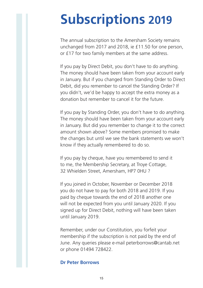# **Subscriptions 2019**

The annual subscription to the Amersham Society remains unchanged from 2017 and 2018, ie £11.50 for one person, or £17 for two family members at the same address.

If you pay by Direct Debit, you don't have to do anything. The money should have been taken from your account early in January. But if you changed from Standing Order to Direct Debit, did you remember to cancel the Standing Order? If you didn't, we'd be happy to accept the extra money as a donation but remember to cancel it for the future.

If you pay by Standing Order, you don't have to do anything. The money should have been taken from your account early in January. But did you remember to change it to the correct amount shown above? Some members promised to make the changes but until we see the bank statements we won't know if they actually remembered to do so.

If you pay by cheque, have you remembered to send it to me, the Membership Secretary, at Troye Cottage, 32 Whielden Street, Amersham, HP7 0HU ?

If you joined in October, November or December 2018 you do not have to pay for both 2018 and 2019. If you paid by cheque towards the end of 2018 another one will not be expected from you until January 2020. If you signed up for Direct Debit, nothing will have been taken until January 2019.

Remember, under our Constitution, you forfeit your membership if the subscription is not paid by the end of June. Any queries please e-mail peterborrows@cantab.net or phone 01494 728422.

#### **Dr Peter Borrows**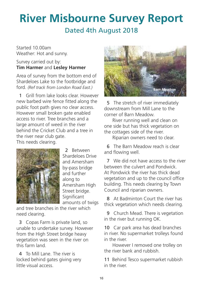# **River Misbourne Survey Report** Dated 4th August 2018

Started 10.00am Weather: Hot and sunny.

#### Survey carried out by: **Tim Harmer** and **Lesley Harmer**

Area of survey from the bottom end of Shardeloes Lake to the footbridge and ford. *(Ref track from London Road East.)*

1 Grill from lake looks clear. However new barbed wire fence fitted along the public foot path gives no clear access. However small broken gate enabled access to river. Tree branches and a large amount of weed in the river behind the Cricket Club and a tree in the river near club gate. This needs clearing.



2 Between Shardeloes Drive and Amersham by-pass bridge and further along to Amersham High Street bridge. Significant amounts of twigs

and tree branches in the river which need clearing.

3 Copas Farm is private land, so unable to undertake survey. However from the High Street bridge heavy vegetation was seen in the river on this farm land.

4 To Mill Lane. The river is locked behind gates giving very little visual access.



5 The stretch of river immediately downstream from Mill Lane to the corner of Barn Meadow.

 River running well and clean on one side but has thick vegetation on the cottages side of the river.

Riparian owners need to clear.

6 The Barn Meadow reach is clear and flowing well.

7 We did not have access to the river between the culvert and Pondwick. At Pondwick the river has thick dead vegetation and up to the council office building. This needs clearing by Town Council and riparian owners.

8 At Badminton Court the river has thick vegetation which needs clearing.

9 Church Mead. There is vegetation in the river but running OK.

10 Car park area has dead branches in river. No supermarket trolleys found in the river.

 However I removed one trolley on the river bank and rubbish.

11 Behind Tesco supermarket rubbish in the river.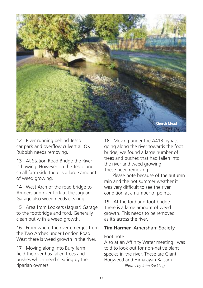

12 River running behind Tesco car park and overflow culvert all OK. Rubbish needs removing.

13 At Station Road Bridge the River is flowing. However on the Tesco and small farm side there is a large amount of weed growing.

14 West Arch of the road bridge to Ambers and river fork at the Jaguar Garage also weed needs clearing.

15 Area from Lookers (Jaguar) Garage to the footbridge and ford. Generally clean but with a weed growth.

16 From where the river emerges from the Two Arches under London Road West there is weed growth in the river.

17 Moving along into Bury farm field the river has fallen trees and bushes which need clearing by the riparian owners.

18 Moving under the A413 bypass going along the river towards the foot bridge, we found a large number of trees and bushes that had fallen into the river and weed growing. These need removing.

 Please note because of the autumn rain and the hot summer weather it was very difficult to see the river condition at a number of points.

19 At the ford and foot bridge. There is a large amount of weed growth. This needs to be removed as it's across the river.

#### **Tim Harmer** Amersham Society

#### Foot note :

Also at an Affinity Water meeting I was told to look out for non-native plant species in the river. These are Giant Hogweed and Himalayan Balsam. *Photos by John Suckling.*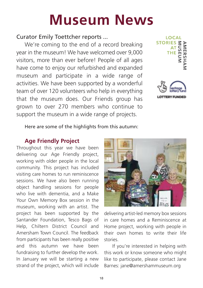# **Museum News**

#### Curator Emily Toettcher reports ...

 We're coming to the end of a record breaking year in the museum! We have welcomed over 9,000 visitors, more than ever before! People of all ages have come to enjoy our refurbished and expanded museum and participate in a wide range of activities. We have been supported by a wonderful team of over 120 volunteers who help in everything that the museum does. Our Friends group has grown to over 270 members who continue to support the museum in a wide range of projects.





Here are some of the highlights from this autumn:

#### **Age Friendly Project**

Throughout this year we have been delivering our Age Friendly project, working with older people in the local community. This project has included visiting care homes to run reminiscence sessions. We have also been running object handling sessions for people who live with dementia, and a Make Your Own Memory Box session in the museum, working with an artist. The project has been supported by the Santander Foundation, Tesco Bags of Help, Chiltern District Council and Amersham Town Council. The feedback from participants has been really positive and this autumn we have been fundraising to further develop the work. In January we will be starting a new strand of the project, which will include



delivering artist-led memory box sessions in care homes and a Reminiscence at Home project, working with people in their own homes to write their life stories.

 If you're interested in helping with this work or know someone who might like to participate, please contact Jane Barnes: jane@amershammuseum.org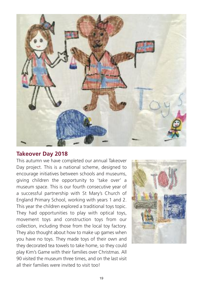

#### **Takeover Day 2018**

This autumn we have completed our annual Takeover Day project. This is a national scheme, designed to encourage initiatives between schools and museums, giving children the opportunity to 'take over' a museum space. This is our fourth consecutive year of a successful partnership with St Mary's Church of England Primary School, working with years 1 and 2. This year the children explored a traditional toys topic. They had opportunities to play with optical toys, movement toys and construction toys from our collection, including those from the local toy factory. They also thought about how to make up games when you have no toys. They made toys of their own and they decorated tea towels to take home, so they could play Kim's Game with their families over Christmas. All 90 visited the museum three times, and on the last visit all their families were invited to visit tool

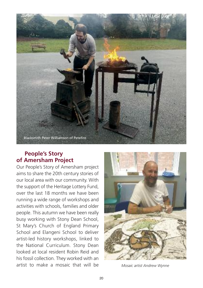

#### **People's Story of Amersham Project**

Our People's Story of Amersham project aims to share the 20th century stories of our local area with our community. With the support of the Heritage Lottery Fund, over the last 18 months we have been running a wide range of workshops and activities with schools, families and older people. This autumn we have been really busy working with Stony Dean School, St Mary's Church of England Primary School and Elangeni School to deliver artist-led history workshops, linked to the National Curriculum. Stony Dean looked at local resident Robin Reid and his fossil collection. They worked with an artist to make a mosaic that will be *Mosaic artist Andrew Wynne*

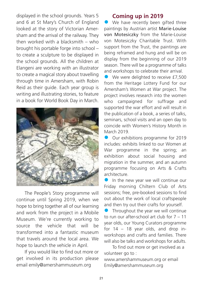displayed in the school grounds. Years 5 and 6 at St Mary's Church of England looked at the story of Victorian Amersham and the arrival of the railway. They then worked with a blacksmith – who brought his portable forge into school – to create a sculpture to be displayed in the school grounds. All the children at Elangeni are working with an illustrator to create a magical story about travelling through time in Amersham, with Robin Reid as their guide. Each year group is writing and illustrating stories, to feature in a book for World Book Day in March.



 The People's Story programme will continue until Spring 2019, when we hope to bring together all of our learning and work from the project in a Mobile Museum. We're currently working to source the vehicle that will be transformed into a fantastic museum that travels around the local area. We hope to launch the vehicle in April.

 If you would like to find out more or get involved in its production please email emily@amershammuseum.org

#### **Coming up in 2019**

We have recently been gifted three paintings by Austrian artist Marie-Louise von Motesiczky from the Marie-Louise von Motesiczky Charitable Trust. With support from the Trust, the paintings are being reframed and hung and will be on display from the beginning of our 2019 season. There will be a programme of talks and workshops to celebrate their arrival.

We were delighted to receive £7,500 from the Heritage Lottery Fund for our Amersham's Women at War project. The project involves research into the women who campaigned for suffrage and supported the war effort and will result in the publication of a book, a series of talks, seminars, school visits and an open day to coincide with Women's History Month in March 2019.

Our exhibitions programme for 2019 includes: exhibits linked to our Women at War programme in the spring; an exhibition about social housing and migration in the summer, and an autumn programme focusing on Arts & Crafts architecture.

In the new year we will continue our Friday morning Chiltern Club of Arts sessions; free, pre-booked sessions to find out about the work of local craftspeople and then try out their crafts for yourself.

Throughout the year we will continue to run our after-school art club for 7 – 11 year olds, our Young Curators programme for 14 – 18 year olds, and drop inworkshops and crafts and families. There will also be talks and workshops for adults.

 To find out more or get involved as a volunteer go to :

www.amershammuseum.org or email Emily@amershammuseum.org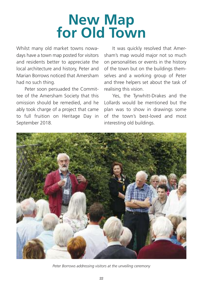# **New Map for Old Town**

Whilst many old market towns nowadays have a town map posted for visitors and residents better to appreciate the local architecture and history, Peter and Marian Borrows noticed that Amersham had no such thing.

 Peter soon persuaded the Committee of the Amersham Society that this omission should be remedied, and he ably took charge of a project that came to full fruition on Heritage Day in September 2018.

 It was quickly resolved that Amersham's map would major not so much on personalities or events in the history of the town but on the buildings themselves and a working group of Peter and three helpers set about the task of realising this vision.

 Yes, the Tyrwhitt-Drakes and the Lollards would be mentioned but the plan was to show in drawings some of the town's best-loved and most interesting old buildings.



*Peter Borrows addressing visitors at the unveiling ceremony*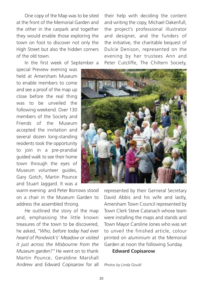One copy of the Map was to be sited at the front of the Memorial Garden and the other in the carpark and together they would enable those exploring the town on foot to discover not only the High Street but also the hidden corners of the old town.

In the first week of September a

special Preview evening was held at Amersham Museum to enable members to come and see a proof of the map up close before the real thing was to be unveiled the following weekend. Over 130 members of the Society and Friends of the Museum accepted the invitation and several dozen long-standing residents took the opportunity to join in a pre-prandial guided walk to see their home town through the eyes of Museum volunteer guides, Gary Gotch, Martin Pounce and Stuart Jaggard. It was a

warm evening and Peter Borrows stood on a chair in the Museum Garden to address the assembled throng.

 He outlined the story of the map and, emphasising the little known treasures of the town to be discovered, he asked, *"Who, before today had ever heard of Pondwick's' Meadow or visited it just across the Misbourne from the Museum garden?"* He went on to thank Martin Pounce, Geraldine Marshall Andrew and Edward Copisarow for all their help with deciding the content and writing the copy, Michael Oakenfull, the project's professional illustrator and designer, and the funders of the initiative, the charitable bequest of Dulcie Denison, represented on the evening by her trustees Ann and Peter Cutcliffe, The Chiltern Society,



represented by their Gerneral Secretary David Abbis and his wife and lastly, Amersham Town Council represented by Town Clerk Steve Catanach whose team were installing the maps and stands and Town Mayor Caroline Jones who was set to unveil the finished article, colour printed on aluminium at the Memorial Garden at noon the following Sunday.

**Edward Copisarow**

*Photos by Linda Gould*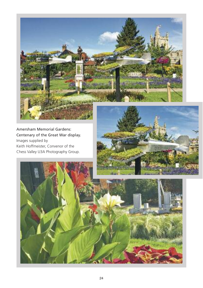

Amersham Memorial Gardens: Centenary of the Great War display. Images supplied by Keith Hoffmeister, Convenor of the Chess Valley U3A Photography Group.



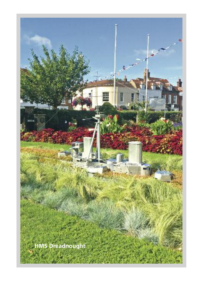